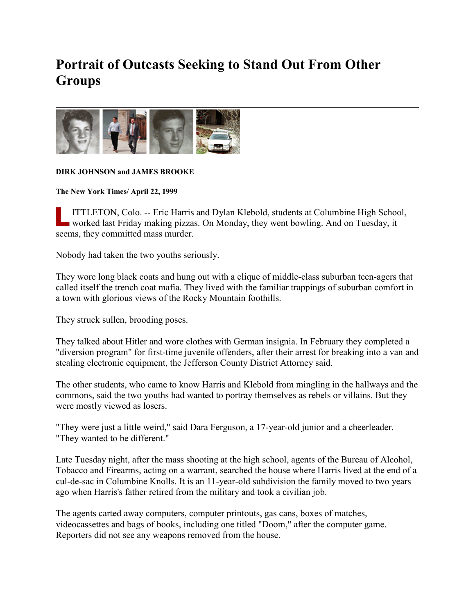## **Portrait of Outcasts Seeking to Stand Out From Other Groups**



## **DIRK JOHNSON and JAMES BROOKE**

**The New York Times/ April 22, 1999**

ITTLETON, Colo. -- Eric Harris and Dylan Klebold, students at Columbine High School, worked last Friday making pizzas. On Monday, they went bowling. And on Tuesday, it seems, they committed mass murder.

Nobody had taken the two youths seriously.

They wore long black coats and hung out with a clique of middle-class suburban teen-agers that called itself the trench coat mafia. They lived with the familiar trappings of suburban comfort in a town with glorious views of the Rocky Mountain foothills.

They struck sullen, brooding poses.

They talked about Hitler and wore clothes with German insignia. In February they completed a "diversion program" for first-time juvenile offenders, after their arrest for breaking into a van and stealing electronic equipment, the Jefferson County District Attorney said.

The other students, who came to know Harris and Klebold from mingling in the hallways and the commons, said the two youths had wanted to portray themselves as rebels or villains. But they were mostly viewed as losers.

"They were just a little weird," said Dara Ferguson, a 17-year-old junior and a cheerleader. "They wanted to be different."

Late Tuesday night, after the mass shooting at the high school, agents of the Bureau of Alcohol, Tobacco and Firearms, acting on a warrant, searched the house where Harris lived at the end of a cul-de-sac in Columbine Knolls. It is an 11-year-old subdivision the family moved to two years ago when Harris's father retired from the military and took a civilian job.

The agents carted away computers, computer printouts, gas cans, boxes of matches, videocassettes and bags of books, including one titled "Doom," after the computer game. Reporters did not see any weapons removed from the house.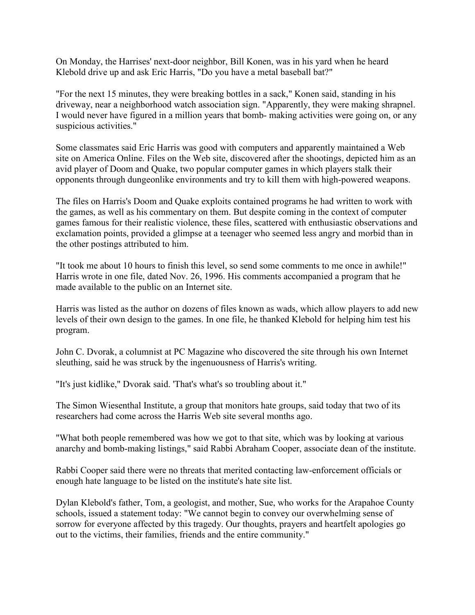On Monday, the Harrises' next-door neighbor, Bill Konen, was in his yard when he heard Klebold drive up and ask Eric Harris, "Do you have a metal baseball bat?"

"For the next 15 minutes, they were breaking bottles in a sack," Konen said, standing in his driveway, near a neighborhood watch association sign. "Apparently, they were making shrapnel. I would never have figured in a million years that bomb- making activities were going on, or any suspicious activities."

Some classmates said Eric Harris was good with computers and apparently maintained a Web site on America Online. Files on the Web site, discovered after the shootings, depicted him as an avid player of Doom and Quake, two popular computer games in which players stalk their opponents through dungeonlike environments and try to kill them with high-powered weapons.

The files on Harris's Doom and Quake exploits contained programs he had written to work with the games, as well as his commentary on them. But despite coming in the context of computer games famous for their realistic violence, these files, scattered with enthusiastic observations and exclamation points, provided a glimpse at a teenager who seemed less angry and morbid than in the other postings attributed to him.

"It took me about 10 hours to finish this level, so send some comments to me once in awhile!" Harris wrote in one file, dated Nov. 26, 1996. His comments accompanied a program that he made available to the public on an Internet site.

Harris was listed as the author on dozens of files known as wads, which allow players to add new levels of their own design to the games. In one file, he thanked Klebold for helping him test his program.

John C. Dvorak, a columnist at PC Magazine who discovered the site through his own Internet sleuthing, said he was struck by the ingenuousness of Harris's writing.

"It's just kidlike," Dvorak said. 'That's what's so troubling about it."

The Simon Wiesenthal Institute, a group that monitors hate groups, said today that two of its researchers had come across the Harris Web site several months ago.

"What both people remembered was how we got to that site, which was by looking at various anarchy and bomb-making listings," said Rabbi Abraham Cooper, associate dean of the institute.

Rabbi Cooper said there were no threats that merited contacting law-enforcement officials or enough hate language to be listed on the institute's hate site list.

Dylan Klebold's father, Tom, a geologist, and mother, Sue, who works for the Arapahoe County schools, issued a statement today: "We cannot begin to convey our overwhelming sense of sorrow for everyone affected by this tragedy. Our thoughts, prayers and heartfelt apologies go out to the victims, their families, friends and the entire community."